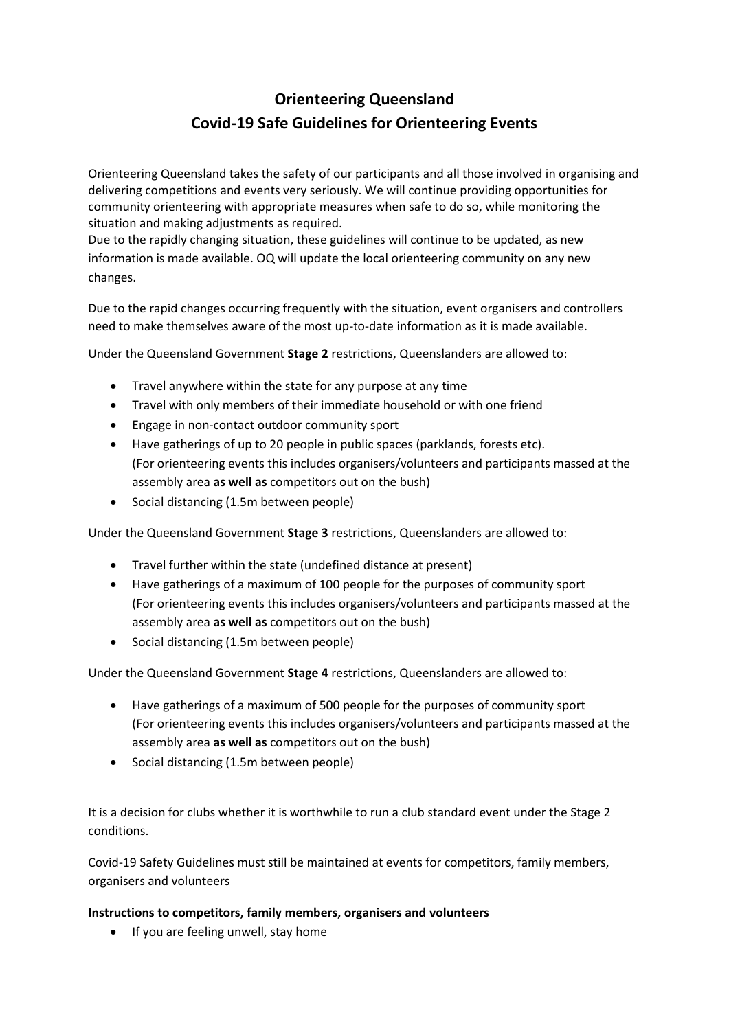# **Orienteering Queensland Covid-19 Safe Guidelines for Orienteering Events**

Orienteering Queensland takes the safety of our participants and all those involved in organising and delivering competitions and events very seriously. We will continue providing opportunities for community orienteering with appropriate measures when safe to do so, while monitoring the situation and making adjustments as required.

Due to the rapidly changing situation, these guidelines will continue to be updated, as new information is made available. OQ will update the local orienteering community on any new changes.

Due to the rapid changes occurring frequently with the situation, event organisers and controllers need to make themselves aware of the most up-to-date information as it is made available.

Under the Queensland Government **Stage 2** restrictions, Queenslanders are allowed to:

- Travel anywhere within the state for any purpose at any time
- Travel with only members of their immediate household or with one friend
- Engage in non-contact outdoor community sport
- Have gatherings of up to 20 people in public spaces (parklands, forests etc). (For orienteering events this includes organisers/volunteers and participants massed at the assembly area **as well as** competitors out on the bush)
- Social distancing (1.5m between people)

Under the Queensland Government **Stage 3** restrictions, Queenslanders are allowed to:

- Travel further within the state (undefined distance at present)
- Have gatherings of a maximum of 100 people for the purposes of community sport (For orienteering events this includes organisers/volunteers and participants massed at the assembly area **as well as** competitors out on the bush)
- Social distancing (1.5m between people)

Under the Queensland Government **Stage 4** restrictions, Queenslanders are allowed to:

- Have gatherings of a maximum of 500 people for the purposes of community sport (For orienteering events this includes organisers/volunteers and participants massed at the assembly area **as well as** competitors out on the bush)
- Social distancing (1.5m between people)

It is a decision for clubs whether it is worthwhile to run a club standard event under the Stage 2 conditions.

Covid-19 Safety Guidelines must still be maintained at events for competitors, family members, organisers and volunteers

# **Instructions to competitors, family members, organisers and volunteers**

• If you are feeling unwell, stay home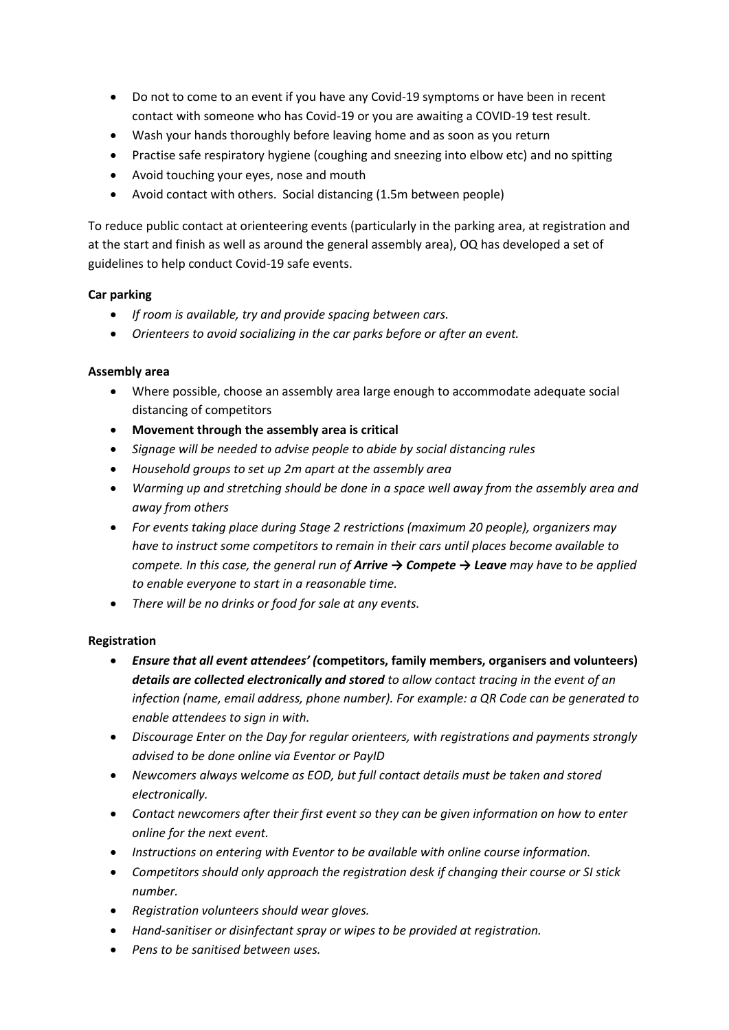- Do not to come to an event if you have any Covid-19 symptoms or have been in recent contact with someone who has Covid-19 or you are awaiting a COVID-19 test result.
- Wash your hands thoroughly before leaving home and as soon as you return
- Practise safe respiratory hygiene (coughing and sneezing into elbow etc) and no spitting
- Avoid touching your eyes, nose and mouth
- Avoid contact with others. Social distancing (1.5m between people)

To reduce public contact at orienteering events (particularly in the parking area, at registration and at the start and finish as well as around the general assembly area), OQ has developed a set of guidelines to help conduct Covid-19 safe events.

# **Car parking**

- *If room is available, try and provide spacing between cars.*
- *Orienteers to avoid socializing in the car parks before or after an event.*

# **Assembly area**

- Where possible, choose an assembly area large enough to accommodate adequate social distancing of competitors
- **Movement through the assembly area is critical**
- *Signage will be needed to advise people to abide by social distancing rules*
- *Household groups to set up 2m apart at the assembly area*
- *Warming up and stretching should be done in a space well away from the assembly area and away from others*
- *For events taking place during Stage 2 restrictions (maximum 20 people), organizers may have to instruct some competitors to remain in their cars until places become available to compete. In this case, the general run of Arrive → Compete → Leave may have to be applied to enable everyone to start in a reasonable time.*
- *There will be no drinks or food for sale at any events.*

# **Registration**

- *Ensure that all event attendees' (***competitors, family members, organisers and volunteers)** *details are collected electronically and stored to allow contact tracing in the event of an infection (name, email address, phone number). For example: a QR Code can be generated to enable attendees to sign in with.*
- *Discourage Enter on the Day for regular orienteers, with registrations and payments strongly advised to be done online via Eventor or PayID*
- *Newcomers always welcome as EOD, but full contact details must be taken and stored electronically.*
- *Contact newcomers after their first event so they can be given information on how to enter online for the next event.*
- *Instructions on entering with Eventor to be available with online course information.*
- *Competitors should only approach the registration desk if changing their course or SI stick number.*
- *Registration volunteers should wear gloves.*
- *Hand-sanitiser or disinfectant spray or wipes to be provided at registration.*
- *Pens to be sanitised between uses.*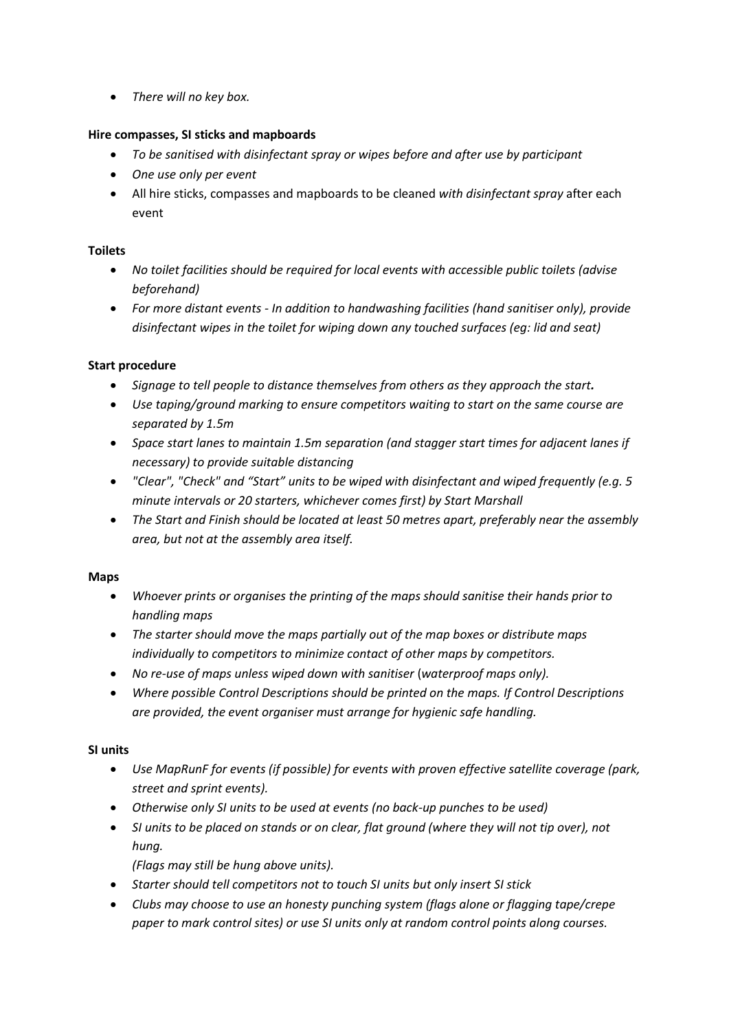• *There will no key box.*

# **Hire compasses, SI sticks and mapboards**

- *To be sanitised with disinfectant spray or wipes before and after use by participant*
- *One use only per event*
- All hire sticks, compasses and mapboards to be cleaned *with disinfectant spray* after each event

# **Toilets**

- *No toilet facilities should be required for local events with accessible public toilets (advise beforehand)*
- *For more distant events - In addition to handwashing facilities (hand sanitiser only), provide disinfectant wipes in the toilet for wiping down any touched surfaces (eg: lid and seat)*

# **Start procedure**

- *Signage to tell people to distance themselves from others as they approach the start.*
- *Use taping/ground marking to ensure competitors waiting to start on the same course are separated by 1.5m*
- *Space start lanes to maintain 1.5m separation (and stagger start times for adjacent lanes if necessary) to provide suitable distancing*
- *"Clear", "Check" and "Start" units to be wiped with disinfectant and wiped frequently (e.g. 5 minute intervals or 20 starters, whichever comes first) by Start Marshall*
- *The Start and Finish should be located at least 50 metres apart, preferably near the assembly area, but not at the assembly area itself.*

#### **Maps**

- *Whoever prints or organises the printing of the maps should sanitise their hands prior to handling maps*
- *The starter should move the maps partially out of the map boxes or distribute maps individually to competitors to minimize contact of other maps by competitors.*
- *No re-use of maps unless wiped down with sanitiser* (*waterproof maps only).*
- *Where possible Control Descriptions should be printed on the maps. If Control Descriptions are provided, the event organiser must arrange for hygienic safe handling.*

#### **SI units**

- *Use MapRunF for events (if possible) for events with proven effective satellite coverage (park, street and sprint events).*
- *Otherwise only SI units to be used at events (no back-up punches to be used)*
- *SI units to be placed on stands or on clear, flat ground (where they will not tip over), not hung.*

*(Flags may still be hung above units).*

- *Starter should tell competitors not to touch SI units but only insert SI stick*
- *Clubs may choose to use an honesty punching system (flags alone or flagging tape/crepe paper to mark control sites) or use SI units only at random control points along courses.*